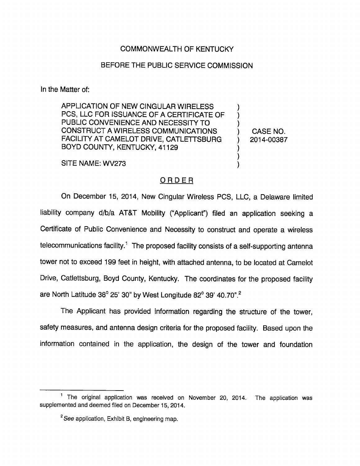## COMMONWEALTH OF KENTUCKY

## BEFORE THE PUBLIC SERVICE COMMISSION

In the Matter of:

APPLICATION OF NEW CINGULAR WIRELESS PCS, LLC FOR ISSUANCE OF A CERTIFICATE OF PUBLIC CONVENIENCE AND NECESSITY TO CONSTRUCT AWIRELESS COMMUNICATIONS ) CASE NO. FACILITY AT CAMELOT DRIVE, CATLETTSBURG ) 2014-00387 BOYD COUNTY, KENTUCKY, 41129

SITE NAME: WV273

## ORDER

On December 15, 2014, New CIngular Wireless PCS, LLC, a Delaware limited liability company d/b/a AT&T Mobility ("Applicant") filed an application seeking a Certificate of Public Convenience and Necessity to construct and operate a wireless telecommunications facility.<sup>1</sup> The proposed facility consists of a self-supporting antenna tower not to exceed 199 feet in height, with attached antenna, to be located at Camelot Drive, Catlettsburg, Boyd County, Kentucky. The coordinates for the proposed facility are North Latitude 38 $^{\circ}$  25' 30" by West Longitude 82 $^{\circ}$  39' 40.70".<sup>2</sup>

The Applicant has provided information regarding the structure of the tower, safety measures, and antenna design criteria for the proposed facility. Based upon the information contained in the application, the design of the tower and foundation

 $<sup>1</sup>$  The original application was received on November 20, 2014. The application was</sup> supplemented and deemed filed on December 15, 2014.

 $\degree$ See application, Exhibit B, engineering map.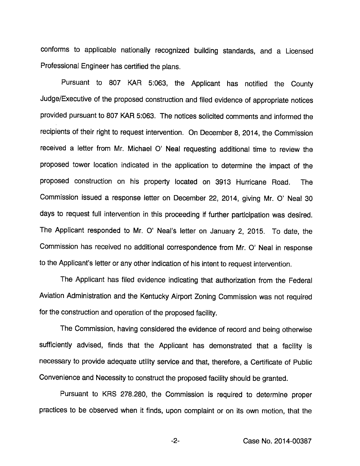conforms to applicable nationally recognized building standards, and a Licensed Professional Engineer has certified the pians.

Pursuant to 807 KAR 5:063, the Applicant has notified the County Judge/Executive of the proposed construction and filed evidence of appropriate notices provided pursuant to 807 KAR 5:063. The notices solicited comments and informed the recipients of their right to request intervention. On December 8, 2014, the Commission received a letter from Mr. Michael O' Neal requesting additional time to review the proposed tower location indicated in the application to determine the impact of the proposed construction on his property located on 3913 Hurricane Road. The Commission issued a response letter on December 22, 2014, giving Mr. 0' Neal 30 days to request full intervention in this proceeding if further participation was desired. The Applicant responded to Mr. 0" Neal's letter on January 2, 2015. To date, the Commission has received no additional correspondence from Mr. 0' Neal in response to the Applicant's letter or any other indication of his intent to request intervention.

The Applicant has filed evidence indicating that authorization from the Federal Aviation Administration and the Kentucky Airport Zoning Commission was not required for the construction and operation of the proposed facility.

The Commission, having considered the evidence of record and being otherwise sufficiently advised, finds that the Applicant has demonstrated that a facility is necessary to provide adequate utility service and that, therefore, a Certificate of Public Convenience and Necessity to construct the proposed facility should be granted.

Pursuant to KRS 278.280, the Commission is required to determine proper practices to be observed when it finds, upon complaint or on its own motion, that the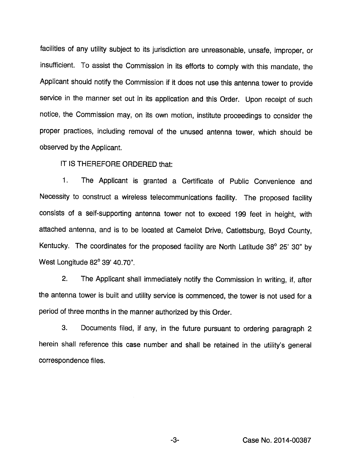facilities of any utility subject to its jurisdiction are unreasonable, unsafe, improper, or insufficient. To assist the Commission in its efforts to comply with this mandate, the Applicant should notify the Commission if it does not use this antenna tower to provide service in the manner set out in its application and this Order. Upon receipt of such notice, the Commission may, on its own motion, institute proceedings to consider the proper practices, including removal of the unused antenna tower, which should be observed by the Applicant.

IT IS THEREFORE ORDERED that:

1. The Applicant is granted a Certificate of Public Convenience and Necessity to construct a wireless telecommunications facility. The proposed facility consists of a self-supporting antenna tower not to exceed 199 feet in height, with attached antenna, and is to be located at Camelot Drive, Catlettsburg, Boyd County, Kentucky. The coordinates for the proposed facility are North Latitude 38° 25' 30" by West Longitude 82° 39' 40.70".

2. The Applicant shall immediately notify the Commission in writing, if, after the antenna tower is built and utility service is commenced, the tower is not used for a period of three months in the manner authorized by this Order.

3. Documents filed, if any, in the future pursuant to ordering paragraph 2 herein shall reference this case number and shall be retained in the utility's general correspondence files.

-3- Case No. 2014-00387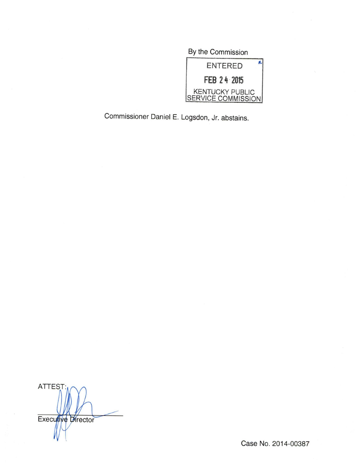By the Commission ĸ ENTERED FEB 24 2015 KENTUCKY PUBLIC SERVICE COMMISSION

Commissioner Daniel E. Logsdon, Jr. abstains.

ATTEST; Executive Director

Case No. 2014-00387